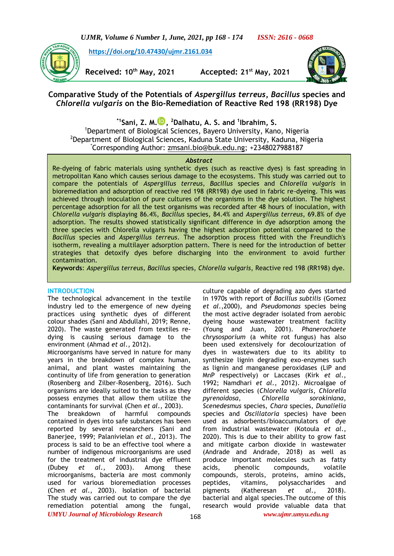*UJMR, Volume 6 Number 1, June, 2021, pp 168 - 174 ISSN: 2616 - 0668*

**[https://doi.org/10.47430/ujmr.2161.034](https://doi.org/10.47430/ujmr.2052.001)**



**Received: 10th May, 2021 Accepted: 21st May, 2021**



# **Comparative Study of the Potentials of** *Aspergillus terreus***,** *Bacillus* **species and**  *Chlorella vulgaris* **on the Bio-Remediation of Reactive Red 198 (RR198) Dye**

**\*1Sani, Z. M. [,](https://orcid.org/0000-0003-1980-2516) <sup>2</sup>Dalhatu, A. S. and <sup>1</sup> Ibrahim, S.**

<sup>1</sup>Department of Biological Sciences, Bayero University, Kano, Nigeria <sup>2</sup>Department of Biological Sciences, Kaduna State University, Kaduna, Nigeria \*Corresponding Author: [zmsani.bio@buk.edu.ng;](mailto:zmsani.bio@buk.edu.ng) +2348027988187

#### *Abstract*

Re-dyeing of fabric materials using synthetic dyes (such as reactive dyes) is fast spreading in metropolitan Kano which causes serious damage to the ecosystems. This study was carried out to compare the potentials of *Aspergillus terreus, Bacillus* species and *Chlorella vulgaris* in bioremediation and adsorption of reactive red 198 (RR198) dye used in fabric re-dyeing. This was achieved through inoculation of pure cultures of the organisms in the dye solution. The highest percentage adsorption for all the test organisms was recorded after 48 hours of inoculation, with *Chlorella vulgaris* displaying 86.4%, *Bacillus* species, 84.4% and *Aspergillus terreus*, 69.8% of dye adsorption. The results showed statistically significant difference in dye adsorption among the three species with Chlorella vulgaris having the highest adsorption potential compared to the *Bacillus* species and *Aspergillus terreus*. The adsorption process fitted with the Freundlich's isotherm, revealing a multilayer adsorption pattern. There is need for the introduction of better strategies that detoxify dyes before discharging into the environment to avoid further contamination.

**Keywords**: *Aspergillus terreus, Bacillus* species, *Chlorella vulgaris*, Reactive red 198 (RR198) dye.

# **INTRODUCTION**

The technological advancement in the textile industry led to the emergence of new dyeing practices using synthetic dyes of different colour shades (Sani and Abdullahi, 2019; Renne, 2020). The waste generated from textiles redying is causing serious damage to the environment (Ahmad *et al*., 2012).

Microorganisms have served in nature for many years in the breakdown of complex human, animal, and plant wastes maintaining the continuity of life from generation to generation (Rosenberg and Zilber-Rosenberg, 2016). Such organisms are ideally suited to the tasks as they possess enzymes that allow them utilize the contaminants for survival (Chen *et al*., 2003).

*UMYU Journal of Microbiology Research www.ujmr.umyu.edu.ng* The breakdown of harmful compounds contained in dyes into safe substances has been reported by several researchers (Sani and Banerjee, 1999; Palanivielan *et al*., 2013). The process is said to be an effective tool where a number of indigenous microorganisms are used for the treatment of industrial dye effluent (Dubey *et al*., 2003). Among these microorganisms, bacteria are most commonly used for various bioremediation processes (Chen *et al*., 2003). Isolation of bacterial The study was carried out to compare the dye remediation potential among the fungal,

culture capable of degrading azo dyes started in 1970s with report of *Bacillus subtilis* (Gomez *et al*.,2000), and *Pseudomonas* species being the most active degrader isolated from aerobic dyeing house wastewater treatment facility (Young and Juan, 2001). *Phanerochaete chrysosporium* (a white rot fungus) has also been used extensively for decolourization of dyes in wastewaters due to its ability to synthesize lignin degrading exo-enzymes such as lignin and manganese peroxidases (LiP and MnP respectively) or Laccases (Kirk *et al*., 1992; Namdhari *et al*., 2012). Microalgae of different species (*Chlorella vulgaris*, *Chlorella pyrenoidosa*, *Chlorella sorokiniana*, *Scenedesmus* species, *Chara* species, *Dunalielia* species and *Oscillatoria* species) have been used as adsorbents/bioaccumulators of dye from industrial wastewater (Kotoula *et al*., 2020). This is due to their ability to grow fast and mitigate carbon dioxide in wastewater (Andrade and Andrade, 2018) as well as produce important molecules such as fatty acids, phenolic compounds, volatile compounds, sterols, proteins, amino acids, peptides, vitamins, polysaccharides and<br>pigments (Katheresan et al., 2018). pigments (Katheresan et al., bacterial and algal species.The outcome of this research would provide valuable data that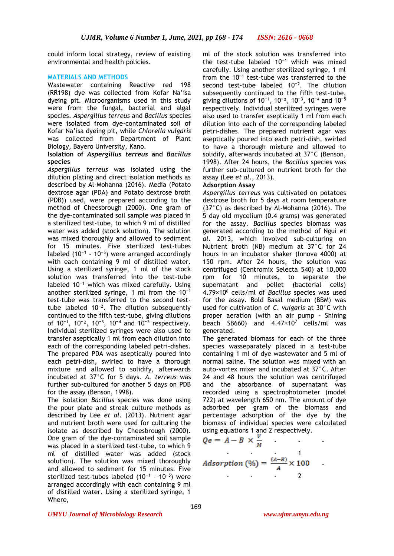could inform local strategy, review of existing environmental and health policies.

## **MATERIALS AND METHODS**

Wastewater containing Reactive red 198 (RR198) dye was collected from Kofar Na'isa dyeing pit. Microorganisms used in this study were from the fungal, bacterial and algal species. *Aspergillus terreus* and *Bacillus* species were isolated from dye-contaminated soil of Kofar Na'isa dyeing pit, while *Chlorella vulgaris* was collected from Department of Plant Biology, Bayero University, Kano.

### **Isolation of** *Aspergillus terreus* **and** *Bacillus* **species**

*Aspergillus terreus* was isolated using the dilution plating and direct isolation methods as described by Al-Mohanna (2016). Media (Potato dextrose agar (PDA) and Potato dextrose broth (PDB)) used, were prepared according to the method of Cheesbrough (2000). One gram of the dye-contaminated soil sample was placed in a sterilized test-tube, to which 9 ml of distilled water was added (stock solution). The solution was mixed thoroughly and allowed to sediment for 15 minutes. Five sterilized test-tubes labeled  $(10^{-1} - 10^{-5})$  were arranged accordingly with each containing 9 ml of distilled water. Using a sterilized syringe, 1 ml of the stock solution was transferred into the test-tube labeled 10<sup>-1</sup> which was mixed carefully. Using another sterilized syringe, 1 ml from the  $10^{-1}$ test-tube was transferred to the second testtube labeled  $10^{-2}$ . The dilution subsequently continued to the fifth test-tube, giving dilutions of  $10^{-1}$ ,  $10^{-2}$ ,  $10^{-3}$ ,  $10^{-4}$  and  $10^{-5}$  respectively. Individual sterilized syringes were also used to transfer aseptically 1 ml from each dilution into each of the corresponding labeled petri-dishes. The prepared PDA was aseptically poured into each petri-dish, swirled to have a thorough mixture and allowed to solidify, afterwards incubated at 37°C for 5 days. *A. terreus* was further sub-cultured for another 5 days on PDB for the assay (Benson, 1998).

The isolation *Bacillus* species was done using the pour plate and streak culture methods as described by Lee *et al*. (2013). Nutrient agar and nutrient broth were used for culturing the isolate as described by Cheesbrough (2000). One gram of the dye-contaminated soil sample was placed in a sterilized test-tube, to which 9 ml of distilled water was added (stock solution). The solution was mixed thoroughly and allowed to sediment for 15 minutes. Five sterilized test-tubes labeled  $(10^{-1} - 10^{-5})$  were arranged accordingly with each containing 9 ml of distilled water. Using a sterilized syringe, 1 Where,

ml of the stock solution was transferred into the test-tube labeled  $10^{-1}$  which was mixed carefully. Using another sterilized syringe, 1 ml from the  $10^{-1}$  test-tube was transferred to the second test-tube labeled  $10^{-2}$ . The dilution subsequently continued to the fifth test-tube, giving dilutions of 10<sup>-1</sup>, 10<sup>-2</sup>, 10<sup>-3</sup>, 10<sup>-4</sup> and 10<sup>-5</sup> respectively. Individual sterilized syringes were also used to transfer aseptically 1 ml from each dilution into each of the corresponding labeled petri-dishes. The prepared nutrient agar was aseptically poured into each petri-dish, swirled to have a thorough mixture and allowed to solidify, afterwards incubated at 37°C (Benson, 1998). After 24 hours, the *Bacillus* species was further sub-cultured on nutrient broth for the assay (Lee *et al*., 2013).

# **Adsorption Assay**

*Aspergillus terreus* was cultivated on potatoes dextrose broth for 5 days at room temperature (37°C) as described by Al-Mohanna (2016). The 5 day old mycelium (0.4 grams) was generated for the assay. *Bacillus* species biomass was generated according to the method of Ngui *et al*. 2013, which involved sub-culturing on Nutrient broth (NB) medium at 37°C for 24 hours in an incubator shaker (Innova 4000) at 150 rpm. After 24 hours, the solution was centrifuged (Centromix Selecta 540) at 10,000 rpm for 10 minutes, to separate the supernatant and pellet (bacterial cells) 4.79×10<sup>6</sup> cells/ml of *Bacillus* species was used for the assay. Bold Basal medium (BBM) was used for cultivation of *C. vulgaris* at 30°C with proper aeration (with an air pump - Shining beach SB660) and  $4.47 \times 10^7$  cells/ml was generated.

The generated biomass for each of the three species wasseparately placed in a test-tube containing 1 ml of dye wastewater and 5 ml of normal saline. The solution was mixed with an auto-vortex mixer and incubated at 37°C. After 24 and 48 hours the solution was centrifuged and the absorbance of supernatant was recorded using a spectrophotometer (model 722) at wavelength 650 nm. The amount of dye adsorbed per gram of the biomass and percentage adsorption of the dye by the biomass of individual species were calculated using equations 1 and 2 respectively.

$$
Qe = A - B \times \frac{1}{M}
$$
  
Adsorption (%) =  $\frac{(A-B)}{A} \times 100$ 

#### *UMYU Journal of Microbiology Research www.ujmr.umyu.edu.ng*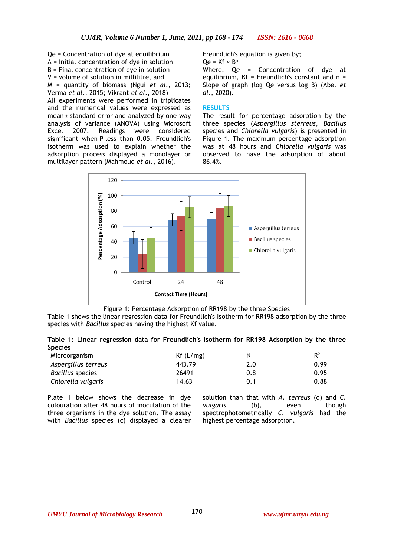Qe = Concentration of dye at equilibrium A = Initial concentration of dye in solution B = Final concentration of dye in solution V = volume of solution in millilitre, and M = quantity of biomass (Ngui *et al*., 2013; Verma *et al*., 2015; Vikrant *et al*., 2018)

All experiments were performed in triplicates and the numerical values were expressed as mean ± standard error and analyzed by one-way analysis of variance (ANOVA) using Microsoft Excel 2007. Readings were considered significant when P less than 0.05. Freundlich's isotherm was used to explain whether the adsorption process displayed a monolayer or multilayer pattern (Mahmoud *et al*., 2016).

Freundlich's equation is given by;  $Qe = Kf \times B^n$ 

Where, Qe = Concentration of dye at equilibrium,  $Kf = Freundlich's constant and n =$ Slope of graph (log Qe versus log B) (Abel *et al*., 2020).

### **RESULTS**

The result for percentage adsorption by the three species (*Aspergillus sterreus*, *Bacillus* species and *Chlorella vulgaris*) is presented in Figure 1. The maximum percentage adsorption was at 48 hours and *Chlorella vulgaris* was observed to have the adsorption of about 86.4%.



Figure 1: Percentage Adsorption of RR198 by the three Species

Table 1 shows the linear regression data for Freundlich's Isotherm for RR198 adsorption by the three species with *Bacillus* species having the highest Kf value.

| Table 1: Linear regression data for Freundlich's Isotherm for RR198 Adsorption by the three |  |  |  |  |  |
|---------------------------------------------------------------------------------------------|--|--|--|--|--|
| <b>Species</b>                                                                              |  |  |  |  |  |

| Microorganism       | Kf(L/mg) |     | D <sub>2</sub> |
|---------------------|----------|-----|----------------|
| Aspergillus terreus | 443.79   | 2.0 | 0.99           |
| Bacillus species    | 26491    | 0.8 | 0.95           |
| Chlorella vulgaris  | 14.63    |     | 0.88           |

Plate I below shows the decrease in dye colouration after 48 hours of inoculation of the three organisms in the dye solution. The assay with *Bacillus* species (c) displayed a clearer solution than that with *A. terreus* (d) and *C. vulgaris* (b), even though spectrophotometrically *C. vulgaris* had the highest percentage adsorption.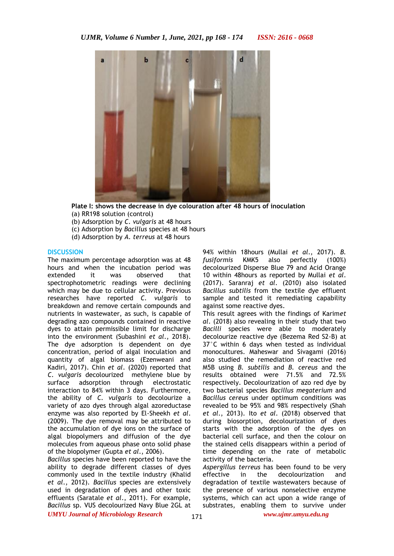

**Plate I: shows the decrease in dye colouration after 48 hours of inoculation** (a) RR198 solution (control)

- (b) Adsorption by *C. vulgaris* at 48 hours
- (c) Adsorption by *Bacillus* species at 48 hours
- (d) Adsorption by *A. terreus* at 48 hours

#### **DISCUSSION**

The maximum percentage adsorption was at 48 hours and when the incubation period was extended it was observed that spectrophotometric readings were declining which may be due to cellular activity. Previous researches have reported *C. vulgaris* to breakdown and remove certain compounds and nutrients in wastewater, as such, is capable of degrading azo compounds contained in reactive dyes to attain permissible limit for discharge into the environment (Subashini *et al*., 2018). The dye adsorption is dependent on dye concentration, period of algal inoculation and quantity of algal biomass (Ezenweani and Kadiri, 2017). Chin *et al*. (2020) reported that *C. vulgaris* decolourized methylene blue by surface adsorption through electrostatic interaction to 84% within 3 days. Furthermore, the ability of *C. vulgaris* to decolourize a variety of azo dyes through algal azoreductase enzyme was also reported by El-Sheekh *et al*. (2009). The dye removal may be attributed to the accumulation of dye ions on the surface of algal biopolymers and diffusion of the dye molecules from aqueous phase onto solid phase of the biopolymer (Gupta *et al*., 2006).

*Bacillus* species have been reported to have the ability to degrade different classes of dyes commonly used in the textile industry (Khalid *et al*., 2012). *Bacillus* species are extensively used in degradation of dyes and other toxic effluents (Saratale *et al*., 2011). For example, *Bacillus* sp. VUS decolourized Navy Blue 2GL at 94% within 18hours (Mullai *et al*., 2017). *B. fusiformis* KMK5 also perfectly (100%) decolourized Disperse Blue 79 and Acid Orange 10 within 48hours as reported by Mullai *et al*. (2017). Saranraj *et al*. (2010) also isolated *Bacillus subtilis* from the textile dye effluent sample and tested it remediating capability against some reactive dyes.

This result agrees with the findings of Karim*et al*. (2018) also revealing in their study that two *Bacilli* species were able to moderately decolourize reactive dye (Bezema Red S2-B) at 37°C within 6 days when tested as individual monocultures. Maheswar and Sivagami (2016) also studied the remediation of reactive red M5B using *B. subtilis* and *B. cereus* and the results obtained were 71.5% and 72.5% respectively. Decolourization of azo red dye by two bacterial species *Bacillus megaterium* and *Bacillus cereus* under optimum conditions was revealed to be 95% and 98% respectively (Shah *et al*., 2013). Ito *et al*. (2018) observed that during biosorption, decolourization of dyes starts with the adsorption of the dyes on bacterial cell surface, and then the colour on the stained cells disappears within a period of time depending on the rate of metabolic activity of the bacteria.

*Aspergillus terreus* has been found to be very effective in the decolourization and degradation of textile wastewaters because of the presence of various nonselective enzyme systems, which can act upon a wide range of substrates, enabling them to survive under

*UMYU Journal of Microbiology Research www.ujmr.umyu.edu.ng*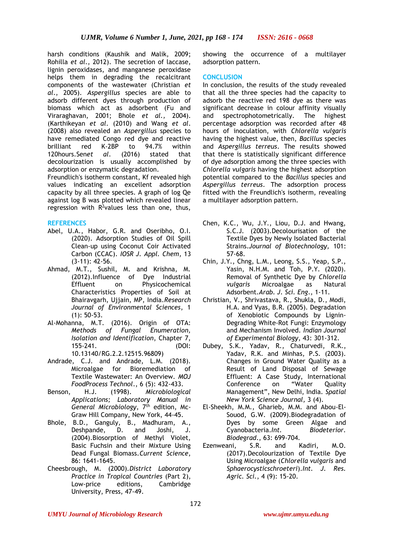harsh conditions (Kaushik and Malik, 2009; Rohilla *et al*., 2012). The secretion of laccase, lignin peroxidases, and manganese peroxidase helps them in degrading the recalcitrant components of the wastewater (Christian *et al*., 2005). *Aspergillus* species are able to adsorb different dyes through production of biomass which act as adsorbent (Fu and Viraraghavan, 2001; Bhole *et al.,* 2004). (Karthikeyan *et al*. (2010) and Wang *et al*. (2008) also revealed an *Aspergillus* species to have remediated Congo red dye and reactive brilliant red K-2BP to 94.7% within 120hours.Sen*et al*. (2016) stated that decolourization is usually accomplished by adsorption or enzymatic degradation.

Freundlich's isotherm constant, Kf revealed high values indicating an excellent adsorption capacity by all three species. A graph of log Qe against log B was plotted which revealed linear regression with  $R^2$ values less than one, thus,

# **REFERENCES**

- Abel, U.A., Habor, G.R. and Oseribho, O.I. (2020). Adsorption Studies of Oil Spill Clean-up using Coconut Coir Activated Carbon (CCAC). *IOSR J. Appl. Chem*, 13 (3-11): 42-56.
- Ahmad, M.T., Sushil, M. and Krishna, M. (2012).Influence of Dye Industrial Effluent on Physicochemical Characteristics Properties of Soil at Bhairavgarh, Ujjain, MP, India.*Research Journal of Environmental Sciences*, 1 (1): 50-53.
- Al-Mohanna, M.T. (2016). Origin of OTA: *Methods of Fungal Enumeration, Isolation and Identification*, Chapter 7, 155-241. (DOI: 10.13140/RG.2.2.12515.96809)
- Andrade, C.J. and Andrade, L.M. (2018). Microalgae for Bioremediation of Textile Wastewater: An Overview. *MOJ FoodProcess Technol*., 6 (5): 432-433.
- Benson, H.J. (1998). *Microbiological Applications; Laboratory Manual in*  General Microbiology, 7<sup>th</sup> edition, Mc-Graw Hill Company, New York, 44-45.
- Bhole, B.D., Ganguly, B., Madhuram, A., Deshpande, D. and Joshi, J. (2004).Biosorption of Methyl Violet, Basic Fuchsin and their Mixture Using Dead Fungal Biomass.*Current Science*, 86: 1641-1645.
- Cheesbrough, M. (2000).*District Laboratory Practice in Tropical Countries* (Part 2), Low-price editions, Cambridge University, Press, 47-49.

showing the occurrence of a multilayer adsorption pattern.

# **CONCLUSION**

In conclusion, the results of the study revealed that all the three species had the capacity to adsorb the reactive red 198 dye as there was significant decrease in colour affinity visually and spectrophotometrically. The highest percentage adsorption was recorded after 48 hours of inoculation, with *Chlorella vulgaris* having the highest value, then, *Bacillus* species and *Aspergillus terreus*. The results showed that there is statistically significant difference of dye adsorption among the three species with *Chlorella vulgaris* having the highest adsorption potential compared to the *Bacillus* species and *Aspergillus terreus*. The adsorption process fitted with the Freundlich's isotherm, revealing a multilayer adsorption pattern.

- Chen, K.C., Wu, J.Y., Liou, D.J. and Hwang, S.C.J. (2003).Decolourisation of the Textile Dyes by Newly Isolated Bacterial Strains.*Journal of Biotechnology,* 101: 57-68.
- Chin, J.Y., Chng, L.M., Leong, S.S., Yeap, S.P., Yasin, N.H.M. and Toh, P.Y. (2020). Removal of Synthetic Dye by *Chlorella vulgaris* Microalgae as Natural Adsorbent.*Arab. J. Sci. Eng*., 1-11.
- Christian, V., Shrivastava, R., Shukla, D., Modi, H.A. and Vyas, B.R. (2005). Degradation of Xenobiotic Compounds by Lignin-Degrading White-Rot Fungi: Enzymology and Mechanism Involved. *Indian Journal of Experimental Biology*, 43: 301-312.
- Dubey, S.K., Yadav, R., Chaturvedi, R.K., Yadav, R.K. and Minhas, P.S. (2003). Changes in Ground Water Quality as a Result of Land Disposal of Sewage Effluent: A Case Study, International Conference on "Water Quality Management", New Delhi, India. *Spatial New York Science Journal,* 3 (4).
- El-Sheekh, M.M., Gharieb, M.M. and Abou-El-Souod, G.W. (2009).Biodegradation of Dyes by some Green Algae and Cyanobacteria.*Int. Biodeterior. Biodegrad*., 63: 699-704.
- Ezenweani, S.R. and Kadiri, M.O. (2017).Decolourization of Textile Dye Using Microalgae (*Chlorella vulgaris* and *Sphaerocysticschroeteri*).*Int. J. Res. Agric. Sci.*, 4 (9): 15-20.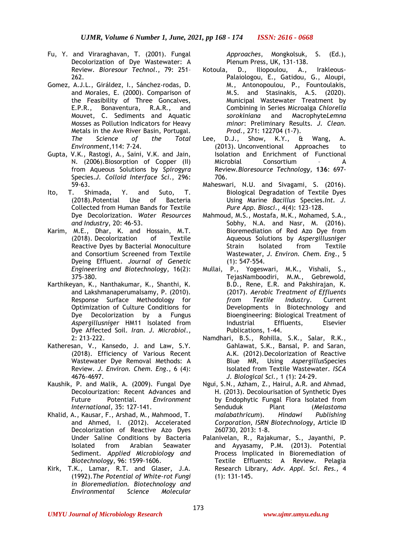- Fu, Y. and Viraraghavan, T. (2001). Fungal Decolorization of Dye Wastewater: A Review. *Bioresour Technol*., 79: 251– 262.
- Gomez, A.J.L., Giráldez, I., Sánchez-rodas, D. and Morales, E. (2000). Comparison of the Feasibility of Three Goncalves, E.P.R., Bonaventura, R.A.R., and Mouvet, C. Sediments and Aquatic Mosses as Pollution Indicators for Heavy Metals in the Ave River Basin, Portugal. *The Science of the Total Environment*,114: 7-24.
- Gupta, V.K., Rastogi, A., Saini, V.K. and Jain, N. (2006).Biosorption of Copper (II) from Aqueous Solutions by *Spirogyra* Species.*J. Colloid Interface Sci*., 296: 59-63.
- [Ito,](https://www.sciencedirect.com/science/article/pii/S2212371718300921#!) T. [Shimada,](https://www.sciencedirect.com/science/article/pii/S2212371718300921#!) Y. and [Suto,](https://www.sciencedirect.com/science/article/pii/S2212371718300921#!) T. (2018).Potential Use of Bacteria Collected from Human Bands for Textile Dye Decolorization. *[Water Resources](https://www.sciencedirect.com/science/journal/22123717)  [and Industry](https://www.sciencedirect.com/science/journal/22123717)*, [20:](https://www.sciencedirect.com/science/journal/22123717/20/supp/C) 46-53.
- Karim, M.E., Dhar, K. and Hossain, M.T. (2018). Decolorization of Textile Reactive Dyes by Bacterial Monoculture and Consortium Screened from Textile Dyeing Effluent. *Journal of Genetic Engineering and Biotechnology*, 16(2): 375-380.
- Karthikeyan, K., Nanthakumar, K., Shanthi, K. and Lakshmanaperumalsamy, P. (2010). Response Surface Methodology for Optimization of Culture Conditions for Dye Decolorization by a Fungus *Aspergillusniger* HM11 Isolated from Dye Affected Soil. *Iran. J. Microbiol*., 2: 213-222.
- Katheresan, V., Kansedo, J. and Law, S.Y. (2018). Efficiency of Various Recent Wastewater Dye Removal Methods: A Review. *J. Environ. Chem. Eng*., 6 (4): 4676-4697.
- Kaushik, P. and Malik, A. (2009). Fungal Dye Decolourization: Recent Advances and Future Potential. *Environment International*, 35: 127-141.
- Khalid, A., Kausar, F., Arshad, M., Mahmood, T. and Ahmed, I. (2012). Accelerated Decolorization of Reactive Azo Dyes Under Saline Conditions by Bacteria Isolated from Arabian Seawater Sediment. *Applied Microbiology and Biotechnology*, 96: 1599-1606.
- Kirk, T.K., Lamar, R.T. and Glaser, J.A. (1992).*The Potential of White-rot Fungi in Bioremediation. Biotechnology and Environmental Science Molecular*

*Approaches*, Mongkolsuk, S. (Ed.), Plenum Press, UK, 131-138.

- Kotoula, D., Iliopoulou, A., Irakleous-Palaiologou, E., Gatidou, G., Aloupi, M., Antonopoulou, P., Fountoulakis, M.S. and Stasinakis, A.S. (2020). Municipal Wastewater Treatment by Combining in Series Microalga *Chlorella sorokiniana* and Macrophyte*Lemna minor*: Preliminary Results. *J. Clean. Prod*., 271: 122704 (1-7).
- Lee, D.J., Show, K.Y., & Wang, A. (2013). Unconventional Approaches to Isolation and Enrichment of Functional Microbial Consortium – A Review*.Bioresource Technology,* **136**: 697- 706.
- Maheswari, N.U. and Sivagami, S. (2016). Biological Degradation of Textile Dyes Using Marine *Bacillus* Species.*Int. J. Pure App. Biosci*., 4(4): 123-128.
- Mahmoud, M.S., Mostafa, M.K., Mohamed, S.A., Sobhy, N.A. and Nasr, M. (2016). Bioremediation of Red Azo Dye from Aqueous Solutions by *Aspergillusniger* Strain Isolated from Textile Wastewater, *J. Environ. Chem. Eng*., 5 (1): 547-554.
- Mullai, P., Yogeswari, M.K., Vishali, S., TejasNamboodiri, M.M., Gebrewold, B.D., Rene, E.R. and Pakshirajan, K. (2017). *Aerobic Treatment of Effluents from Textile Industry*. Current Developments in Biotechnology and Bioengineering: Biological Treatment of Industrial Effluents, Elsevier Publications, 1-44.
- Namdhari, B.S., Rohilla, S.K., Salar, R.K., Gahlawat, S.K., Bansal, P. and Saran, A.K. (2012).Decolorization of Reactive Blue MR, Using *Aspergillus*Species Isolated from Textile Wastewater. *ISCA J. Biological Sci.,* 1 (1): 24-29.
- Ngui, S.N., Azham, Z., Hairul, A.R. and Ahmad, H. (2013). Decolourisation of Synthetic Dyes by Endophytic Fungal Flora Isolated from Senduduk Plant (*Melastoma malabathricum*). *Hindawi Publishing Corporation, ISRN Biotechnology*, Article ID 260730, 2013: 1-8.
- Palanivelan, R., Rajakumar, S., Jayanthi, P. and Ayyasamy, P.M. (2013). Potential Process Implicated in Bioremediation of Textile Effluents: A Review. Pelagia Research Library, *Adv. Appl. Sci. Res.,* 4 (1): 131-145.